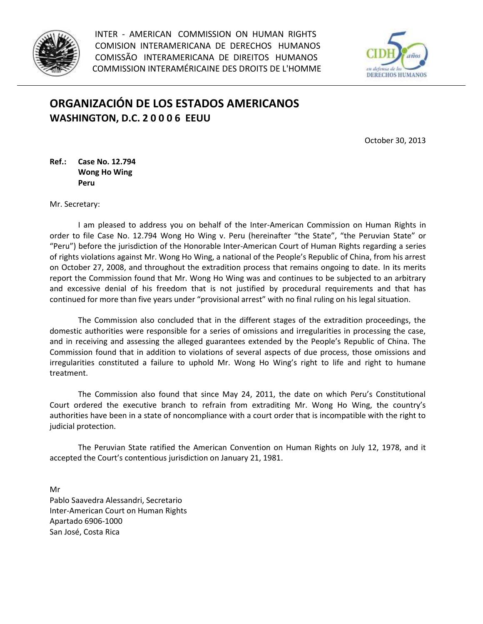

INTER - AMERICAN COMMISSION ON HUMAN RIGHTS COMISION INTERAMERICANA DE DERECHOS HUMANOS COMISSÃO INTERAMERICANA DE DIREITOS HUMANOS COMMISSION INTERAMÉRICAINE DES DROITS DE L'HOMME



## **ORGANIZACIÓN DE LOS ESTADOS AMERICANOS WASHINGTON, D.C. 2 0 0 0 6 EEUU**

October 30, 2013

**Ref.: Case No. 12.794 Wong Ho Wing Peru**

Mr. Secretary:

I am pleased to address you on behalf of the Inter-American Commission on Human Rights in order to file Case No. 12.794 Wong Ho Wing v. Peru (hereinafter "the State", "the Peruvian State" or "Peru") before the jurisdiction of the Honorable Inter-American Court of Human Rights regarding a series of rights violations against Mr. Wong Ho Wing, a national of the People's Republic of China, from his arrest on October 27, 2008, and throughout the extradition process that remains ongoing to date. In its merits report the Commission found that Mr. Wong Ho Wing was and continues to be subjected to an arbitrary and excessive denial of his freedom that is not justified by procedural requirements and that has continued for more than five years under "provisional arrest" with no final ruling on his legal situation.

The Commission also concluded that in the different stages of the extradition proceedings, the domestic authorities were responsible for a series of omissions and irregularities in processing the case, and in receiving and assessing the alleged guarantees extended by the People's Republic of China. The Commission found that in addition to violations of several aspects of due process, those omissions and irregularities constituted a failure to uphold Mr. Wong Ho Wing's right to life and right to humane treatment.

The Commission also found that since May 24, 2011, the date on which Peru's Constitutional Court ordered the executive branch to refrain from extraditing Mr. Wong Ho Wing, the country's authorities have been in a state of noncompliance with a court order that is incompatible with the right to judicial protection.

The Peruvian State ratified the American Convention on Human Rights on July 12, 1978, and it accepted the Court's contentious jurisdiction on January 21, 1981.

Mr Pablo Saavedra Alessandri, Secretario Inter-American Court on Human Rights Apartado 6906-1000 San José, Costa Rica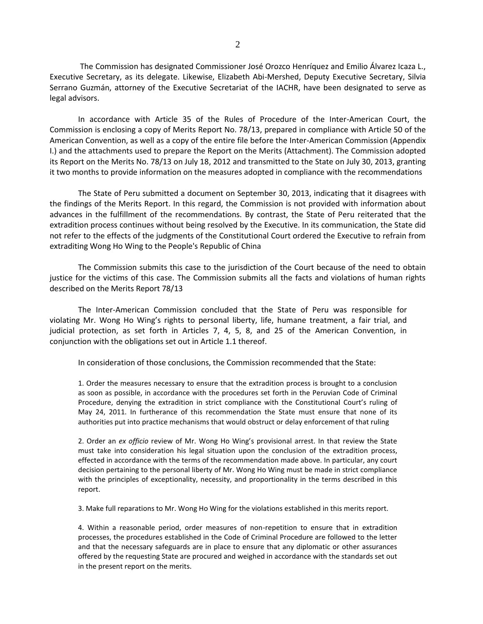The Commission has designated Commissioner José Orozco Henríquez and Emilio Álvarez Icaza L., Executive Secretary, as its delegate. Likewise, Elizabeth Abi-Mershed, Deputy Executive Secretary, Silvia Serrano Guzmán, attorney of the Executive Secretariat of the IACHR, have been designated to serve as legal advisors.

In accordance with Article 35 of the Rules of Procedure of the Inter-American Court, the Commission is enclosing a copy of Merits Report No. 78/13, prepared in compliance with Article 50 of the American Convention, as well as a copy of the entire file before the Inter-American Commission (Appendix I.) and the attachments used to prepare the Report on the Merits (Attachment). The Commission adopted its Report on the Merits No. 78/13 on July 18, 2012 and transmitted to the State on July 30, 2013, granting it two months to provide information on the measures adopted in compliance with the recommendations

The State of Peru submitted a document on September 30, 2013, indicating that it disagrees with the findings of the Merits Report. In this regard, the Commission is not provided with information about advances in the fulfillment of the recommendations. By contrast, the State of Peru reiterated that the extradition process continues without being resolved by the Executive. In its communication, the State did not refer to the effects of the judgments of the Constitutional Court ordered the Executive to refrain from extraditing Wong Ho Wing to the People's Republic of China

The Commission submits this case to the jurisdiction of the Court because of the need to obtain justice for the victims of this case. The Commission submits all the facts and violations of human rights described on the Merits Report 78/13

The Inter-American Commission concluded that the State of Peru was responsible for violating Mr. Wong Ho Wing's rights to personal liberty, life, humane treatment, a fair trial, and judicial protection, as set forth in Articles 7, 4, 5, 8, and 25 of the American Convention, in conjunction with the obligations set out in Article 1.1 thereof.

In consideration of those conclusions, the Commission recommended that the State:

1. Order the measures necessary to ensure that the extradition process is brought to a conclusion as soon as possible, in accordance with the procedures set forth in the Peruvian Code of Criminal Procedure, denying the extradition in strict compliance with the Constitutional Court's ruling of May 24, 2011. In furtherance of this recommendation the State must ensure that none of its authorities put into practice mechanisms that would obstruct or delay enforcement of that ruling

2. Order an *ex officio* review of Mr. Wong Ho Wing's provisional arrest. In that review the State must take into consideration his legal situation upon the conclusion of the extradition process, effected in accordance with the terms of the recommendation made above. In particular, any court decision pertaining to the personal liberty of Mr. Wong Ho Wing must be made in strict compliance with the principles of exceptionality, necessity, and proportionality in the terms described in this report.

3. Make full reparations to Mr. Wong Ho Wing for the violations established in this merits report.

4. Within a reasonable period, order measures of non-repetition to ensure that in extradition processes, the procedures established in the Code of Criminal Procedure are followed to the letter and that the necessary safeguards are in place to ensure that any diplomatic or other assurances offered by the requesting State are procured and weighed in accordance with the standards set out in the present report on the merits.